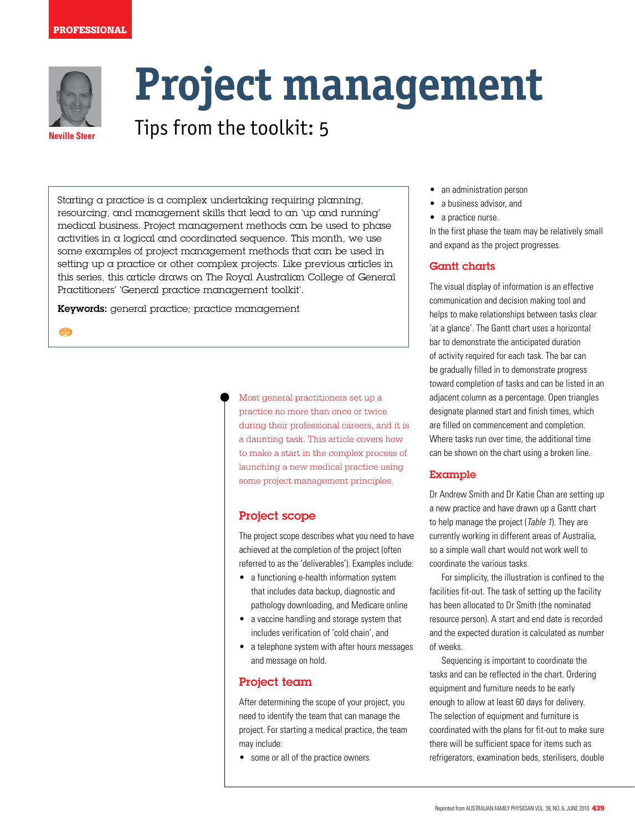#### **PROFESSIONAL**



**CD** 

# **Project management**

**Neville Steer** Tips from the toolkit: 5

Starting a practice is a complex undertaking requiring planning, resourcing, and management skills that lead to an 'up and running' medical business. Project management methods can be used to phase activities in a logical and coordinated sequence. This month, we use some examples of project management methods that can be used in setting up a practice or other complex projects. Like previous articles in this series, this article draws on The Royal Australian College of General Practitioners' 'General practice management toolkit'.

Keywords: general practice; practice management

Most general practitioners set up a practice no more than once or twice during their professional careers, and it is a daunting task. This article covers how to make a start in the complex process of launching a new medical practice using some project management principles.

## Project scope

The project scope describes what you need to have achieved at the completion of the project (often referred to as the 'deliverables'). Examples include:

- a functioning e-health information system that includes data backup, diagnostic and pathology downloading, and Medicare online
- a vaccine handling and storage system that includes verification of 'cold chain', and
- a telephone system with after hours messages and message on hold.

# Project team

After determining the scope of your project, you need to identify the team that can manage the project. For starting a medical practice, the team may include:

• some or all of the practice owners

- an administration person
- a business advisor, and
- a practice nurse.

In the first phase the team may be relatively small and expand as the project progresses.

# Gantt charts

The visual display of information is an effective communication and decision making tool and helps to make relationships between tasks clear 'at a glance'. The Gantt chart uses a horizontal bar to demonstrate the anticipated duration of activity required for each task. The bar can be gradually filled in to demonstrate progress toward completion of tasks and can be listed in an adjacent column as a percentage. Open triangles designate planned start and finish times, which are filled on commencement and completion. Where tasks run over time, the additional time can be shown on the chart using a broken line.

#### Example

Dr Andrew Smith and Dr Katie Chan are setting up a new practice and have drawn up a Gantt chart to help manage the project (Table 1). They are currently working in different areas of Australia, so a simple wall chart would not work well to coordinate the various tasks.

For simplicity, the illustration is confined to the facilities fit-out. The task of setting up the facility has been allocated to Dr Smith (the nominated resource person). A start and end date is recorded and the expected duration is calculated as number of weeks.

 Sequencing is important to coordinate the tasks and can be reflected in the chart. Ordering equipment and furniture needs to be early enough to allow at least 60 days for delivery. The selection of equipment and furniture is coordinated with the plans for fit-out to make sure there will be sufficient space for items such as refrigerators, examination beds, sterilisers, double